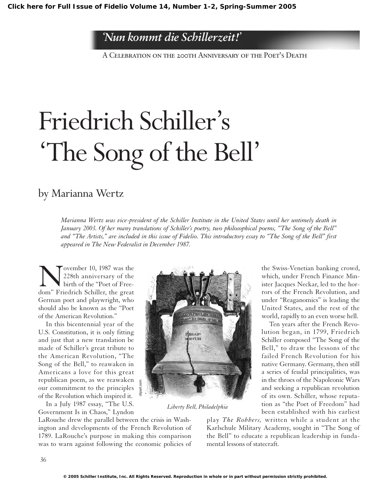### *'Nun kommt die Schillerzeit!'*

A Celebration on the 200th Anniversary of the Poet's Death

# Friedrich Schiller's 'The Song of the Bell'

#### by Marianna Wertz

*Marianna Wertz was vice-president of the Schiller Institute in the United States until her untimely death in January 2003. Of her many translations of Schiller's poetry, two philosophical poems, "The Song of the Bell" and "The Artists," are included in this issue of Fidelio. This introductory essay to "The Song of the Bell" first appeared in The New Federalist in December 1987.*

November 10, 1987 was the<br>228th anniversary of the<br>dom" Friedrich Schiller, the great 228th anniversary of the birth of the "Poet of Free-German poet and playwright, who should also be known as the "Poet of the American Revolution."

In this bicentennial year of the U.S. Constitution, it is only fitting and just that a new translation be made of Schiller's great tribute to the American Revolution, "The Song of the Bell," to reawaken in Americans a love for this great republican poem, as we reawaken our commitment to the principles of the Revolution which inspired it.

In a July 1987 essay, "The U.S. Government Is in Chaos," Lyndon



*Liberty Bell, Philadelphia*

LaRouche drew the parallel between the crisis in Washington and developments of the French Revolution of 1789. LaRouche's purpose in making this comparison was to warn against following the economic policies of the Swiss-Venetian banking crowd, which, under French Finance Minister Jacques Neckar, led to the horrors of the French Revolution, and under "Reaganomics" is leading the United States, and the rest of the world, rapidly to an even worse hell.

Ten years after the French Revolution began, in 1799, Friedrich Schiller composed "The Song of the Bell," to draw the lessons of the failed French Revolution for his native Germany. Germany, then still a series of feudal principalities, was in the throes of the Napoleonic Wars and seeking a republican revolution of its own. Schiller, whose reputation as "the Poet of Freedom" had been established with his earliest

play *The Robbers,* written while a student at the Karlschule Military Academy, sought in "The Song of the Bell" to educate a republican leadership in fundamental lessons of statecraft.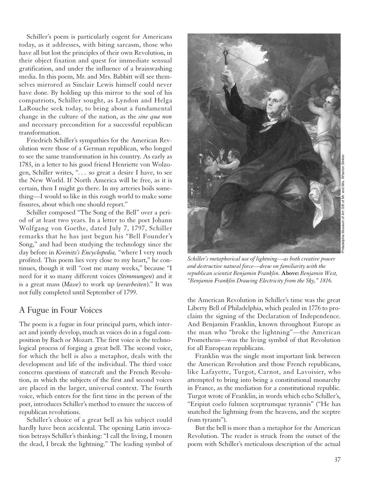Schiller's poem is particularly cogent for Americans today, as it addresses, with biting sarcasm, those who have all but lost the principles of their own Revolution, in their object fixation and quest for immediate sensual gratification, and under the influence of a brainwashing media. In this poem, Mr. and Mrs. Babbitt will see themselves mirrored as Sinclair Lewis himself could never have done. By holding up this mirror to the soul of his compatriots, Schiller sought, as Lyndon and Helga LaRouche seek today, to bring about a fundamental change in the culture of the nation, as the *sine qua non* and necessary precondition for a successful republican transformation.

Friedrich Schiller's sympathies for the American Revolution were those of a German republican, who longed to see the same transformation in his country. As early as 1783, in a letter to his good friend Henriette von Wolzogen, Schiller writes, ". . . so great a desire I have, to see the New World. If North America will be free, as it is certain, then I might go there. In my arteries boils something—I would so like in this rough world to make some fissures, about which one should report."

Schiller composed "The Song of the Bell" over a period of at least two years. In a letter to the poet Johann Wolfgang von Goethe, dated July 7, 1797, Schiller remarks that he has just begun his "Bell Founder's Song," and had been studying the technology since the day before in *Kreinitz's Encyclopedia,* "where I very much profited. This poem lies very close to my heart," he continues, though it will "cost me many weeks," because "I need for it so many different voices (*Stimmungen*) and it is a great mass (*Masse*) to work up (*verarbeiten*)." It was not fully completed until September of 1799.

#### A Fugue in Four Voices

The poem is a fugue in four principal parts, which interact and jointly develop, much as voices do in a fugal composition by Bach or Mozart. The first voice is the technological process of forging a great bell. The second voice, for which the bell is also a metaphor, deals with the development and life of the individual. The third voice concerns questions of statecraft and the French Revolution, in which the subjects of the first and second voices are placed in the larger, universal context. The fourth voice, which enters for the first time in the person of the poet, introduces Schiller's method to ensure the success of republican revolutions.

Schiller's choice of a great bell as his subject could hardly have been accidental. The opening Latin invocation betrays Schiller's thinking: "I call the living, I mourn the dead, I break the lightning." The leading symbol of



*Schiller's metaphorical use of lightning—as both creative power and destructive natural force—drew on familiarity with the republican scientist Benjamin Franklin.* **Above:** *Benjamin West,*

the American Revolution in Schiller's time was the great Liberty Bell of Philadelphia, which pealed in 1776 to proclaim the signing of the Declaration of Independence. And Benjamin Franklin, known throughout Europe as the man who "broke the lightning"—the American Prometheus—was the living symbol of that Revolution for all European republicans.

*"Benjamin Franklin Drawing Electricity from the Sky," 1816.*

Franklin was the single most important link between the American Revolution and those French republicans, like Lafayette, Turgot, Carnot, and Lavoisier, who attempted to bring into being a constitutional monarchy in France, as the mediation for a constitutional republic. Turgot wrote of Franklin, in words which echo Schiller's, "Eripiut coelo fulmen sceptrumque tyrannis" ("He has snatched the lightning from the heavens, and the sceptre from tyrants").

But the bell is more than a metaphor for the American Revolution. The reader is struck from the outset of the poem with Schiller's meticulous description of the actual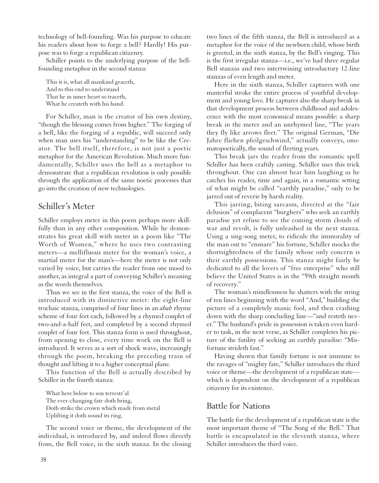technology of bell-founding. Was his purpose to educate his readers about how to forge a bell? Hardly! His purpose was to forge a republican citizenry.

Schiller points to the underlying purpose of the bellfounding metaphor in the second stanza:

This it is, what all mankind graceth, And to this end to understand That he in inner heart so traceth, What he createth with his hand.

For Schiller, man is the creator of his own destiny, "though the blessing comes from higher." The forging of a bell, like the forging of a republic, will succeed only when man uses his "understanding" to be like the Creator. The bell itself, therefore, is not just a poetic metaphor for the American Revolution. Much more fundamentally, Schiller uses the bell as a metaphor to demonstrate that a republican revolution is only possible through the application of the same noetic processes that go into the creation of new technologies.

#### Schiller's Meter

Schiller employs meter in this poem perhaps more skillfully than in any other composition. While he demonstrates his great skill with meter in a poem like "The Worth of Women," where he uses two contrasting meters—a mellifluous meter for the woman's voice, a martial meter for the man's—here the meter is not only varied by voice, but carries the reader from one mood to another, as integral a part of conveying Schiller's meaning as the words themselves.

Thus we see in the first stanza, the voice of the Bell is introduced with its distinctive meter: the eight-line trochaic stanza, comprised of four lines in an *abab* rhyme scheme of four feet each, followed by a rhymed couplet of two-and-a-half feet, and completed by a second rhymed couplet of four feet. This stanza form is used throughout, from opening to close, every time work on the Bell is introduced. It serves as a sort of shock wave, increasingly through the poem, breaking the preceding train of thought and lifting it to a higher conceptual plane.

This function of the Bell is actually described by Schiller in the fourth stanza:

What here below to son terrestr'al The ever-changing fate doth bring, Doth strike the crown which made from metal Uplifting it doth sound its ring.

The second voice or theme, the development of the individual, is introduced by, and indeed flows directly from, the Bell voice, in the sixth stanza. In the closing two lines of the fifth stanza, the Bell is introduced as a metaphor for the voice of the newborn child, whose birth is greeted, in the sixth stanza, by the Bell's ringing. This is the first irregular stanza—i.e., we've had three regular Bell stanzas and two intertwining introductory 12-line stanzas of even length and meter.

Here in the sixth stanza, Schiller captures with one masterful stroke the entire process of youthful development and young love. He captures also the sharp break in that development process between childhood and adolescence with the most economical means possible: a sharp break in the meter and an unrhymed line, "The years they fly like arrows fleet." The original German, "Die Jahre fliehen pfeilgeschwind," actually conveys, onomatopoetically, the sound of fleeting years.

This break jars the reader from the romantic spell Schiller has been craftily casting. Schiller uses this trick throughout. One can almost hear him laughing as he catches his reader, time and again, in a romantic setting of what might be called "earthly paradise," only to be jarred out of reverie by harsh reality.

This jarring, biting sarcasm, directed at the "fair delusion" of complacent "burghers" who seek an earthly paradise yet refuse to see the coming storm clouds of war and revolt, is fully unleashed in the next stanza. Using a sing-song meter, to ridicule the immorality of the man out to "ensnare" his fortune, Schiller mocks the shortsightedness of the family whose only concern is their earthly possessions. This stanza might fairly be dedicated to all the lovers of "free enterprise" who still believe the United States is in the "59th straight month of recovery."

The woman's mindlessness he shatters with the string of ten lines beginning with the word "And," building the picture of a completely manic fool, and then crashing down with the sharp concluding line—"and resteth never." The husband's pride in possession is taken even harder to task, in the next verse, as Schiller completes his picture of the futility of seeking an earthly paradise: "Misfortune strideth fast."

Having shown that family fortune is not immune to the ravages of "mighty fate," Schiller introduces the third voice or theme—the development of a republican state which is dependent on the development of a republican citizenry for its existence.

#### Battle for Nations

The battle for the development of a republican state is the most important theme of "The Song of the Bell." That battle is encapsulated in the eleventh stanza, where Schiller introduces the third voice.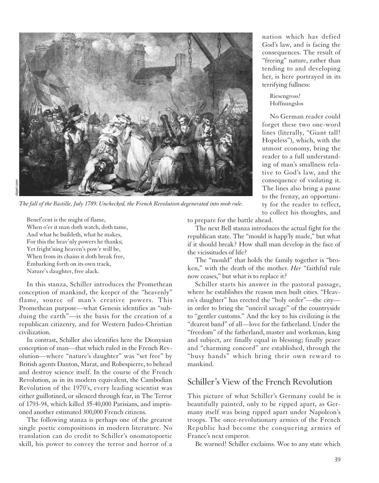

*The fall of the Bastille, July 1789. Unchecked, the French Revolution degenerated into mob rule.*

Benef'cent is the might of flame, When o'er it man doth watch, doth tame, And what he buildeth, what he makes, For this the heav'nly powers he thanks; Yet fright'ning heaven's pow'r will be, When from its chains it doth break free, Embarking forth on its own track, Nature's daughter, free alack.

In this stanza, Schiller introduces the Promethean conception of mankind, the keeper of the "heavenly" flame, source of man's creative powers. This Promethean purpose—what Genesis identifies as "subduing the earth"—is the basis for the creation of a republican citizenry, and for Western Judeo-Christian civilization.

In contrast, Schiller also identifies here the Dionysian conception of man—that which ruled in the French Revolution—where "nature's daughter" was "set free" by British agents Danton, Marat, and Robespierre, to behead and destroy science itself. In the course of the French Revolution, as in its modern equivalent, the Cambodian Revolution of the 1970's, every leading scientist was either guillotined, or silenced through fear, in The Terror of 1793-94, which killed 35-40,000 Parisians, and imprisoned another estimated 300,000 French citizens.

The following stanza is perhaps one of the greatest single poetic compositions in modern literature. No translation can do credit to Schiller's onomatopoetic skill, his power to convey the terror and horror of a

to prepare for the battle ahead.

The next Bell stanza introduces the actual fight for the republican state. The "mould is happ'ly made," but what if it should break? How shall man develop in the face of the vicissitudes of life?

The "mould" that holds the family together is "broken," with the death of the mother. *Her* "faithful rule now ceases," but what is to replace it?

Schiller starts his answer in the pastoral passage, where he establishes the reason men built cities. "Heaven's daughter" has erected the "holy order"—the city in order to bring the "uncivil savage" of the countryside to "gentler customs." And the key to his civilizing is the "dearest band" of all—love for the fatherland. Under the "freedom" of the fatherland, master and workman, king and subject, are finally equal in blessing; finally peace and "charming concord" are established, through the "busy hands" which bring their own reward to mankind.

#### Schiller's View of the French Revolution

This picture of what Schiller's Germany could be is beautifully painted, only to be ripped apart, as Germany itself was being ripped apart under Napoleon's troops. The once-revolutionary armies of the French Republic had become the conquering armies of France's next emperor.

Be warned! Schiller exclaims. Woe to any state which

nation which has defied God's law, and is facing the consequences. The result of "freeing" nature, rather than tending to and developing her, is here portrayed in its terrifying fullness:

Riesengross! Hoffnungslos

No German reader could forget these two one-word lines (literally, "Giant tall! Hopeless"), which, with the utmost economy, bring the reader to a full understanding of man's smallness relative to God's law, and the consequence of violating it. The lines also bring a pause to the frenzy, an opportunity for the reader to reflect, to collect his thoughts, and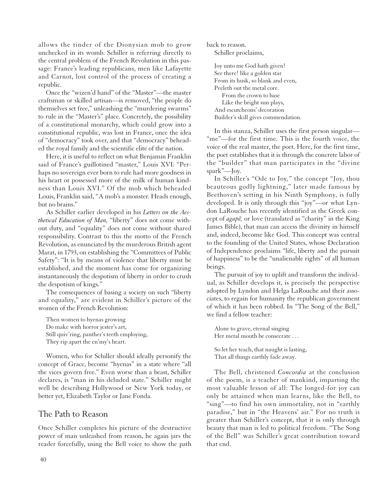allows the tinder of the Dionysian mob to grow unchecked in its womb. Schiller is referring directly to the central problem of the French Revolution in this passage: France's leading republicans, men like Lafayette and Carnot, lost control of the process of creating a republic.

Once the "wizen'd hand" of the "Master"—the master craftsman or skilled artisan—is removed, "the people do themselves set free," unleashing the "murdering swarms" to rule in the "Master's" place. Concretely, the possibility of a constitutional monarchy, which could grow into a constitutional republic, was lost in France, once the idea of "democracy" took over, and that "democracy" beheaded the royal family and the scientific elite of the nation.

Here, it is useful to reflect on what Benjamin Franklin said of France's guillotined "master," Louis XVI: "Perhaps no sovereign ever born to rule had more goodness in his heart or possessed more of the milk of human kindness than Louis XVI." Of the mob which beheaded Louis, Franklin said, "A mob's a monster. Heads enough, but no brains."

As Schiller earlier developed in his *Letters on the Aesthetical Education of Man,* "liberty" does not come without duty, and "equality" does not come without shared responsibility. Contrast to this the motto of the French Revolution, as enunciated by the murderous British agent Marat, in 1793, on establishing the "Committees of Public Safety": "It is by means of violence that liberty must be established, and the moment has come for organizing instantaneously the despotism of liberty in order to crush the despotism of kings."

The consequences of basing a society on such "liberty and equality," are evident in Schiller's picture of the women of the French Revolution:

Then women to hyenas growing Do make with horror jester's art, Still quiv'ring, panther's teeth employing, They rip apart the en'my's heart.

Women, who for Schiller should ideally personify the concept of Grace, become "hyenas" in a state where "all the vices govern free." Even worse than a beast, Schiller declares, is "man in his deluded state." Schiller might well be describing Hollywood or New York today, or better yet, Elizabeth Taylor or Jane Fonda.

#### The Path to Reason

Once Schiller completes his picture of the destructive power of man unleashed from reason, he again jars the reader forcefully, using the Bell voice to show the path

#### back to reason.

Schiller proclaims,

Joy unto me God hath given! See there! like a golden star From its husk, so blank and even, Peeleth out the metal core. From the crown to base Like the bright sun plays, And escutcheons' decoration Builder's skill gives commendation.

In this stanza, Schiller uses the first person singular— "me"—for the first time. This is the fourth voice, the voice of the real master, the poet. Here, for the first time, the poet establishes that it is through the concrete labor of the "builder" that man participates in the "divine spark"—Joy.

In Schiller's "Ode to Joy*,"* the concept "Joy, thou beauteous godly lightning," later made famous by Beethoven's setting in his Ninth Symphony, is fully developed. It is only through this "joy"—or what Lyndon LaRouche has recently identified as the Greek concept of *agape*, or love (translated as "charity" in the King James Bible), that man can access the divinity in himself and, indeed, become like God. This concept was central to the founding of the United States, whose Declaration of Independence proclaims "life, liberty and the pursuit of happiness" to be the "unalienable rights" of all human beings.

The pursuit of joy to uplift and transform the individual, as Schiller develops it, is precisely the perspective adopted by Lyndon and Helga LaRouche and their associates, to regain for humanity the republican government of which it has been robbed. In "The Song of the Bell," we find a fellow teacher:

Alone to grave, eternal singing Her metal mouth be consecrate . . .

So let her teach, that naught is lasting, That all things earthly fade away.

The Bell, christened *Concordia* at the conclusion of the poem, is a teacher of mankind, imparting the most valuable lesson of all: The longed-for joy can only be attained when man learns, like the Bell, to "sing"—to find his own immortality, not in "earthly paradise," but in "the Heavens' air." For no truth is greater than Schiller's concept, that it is only through beauty that man is led to political freedom. "The Song of the Bell" was Schiller's great contribution toward that end.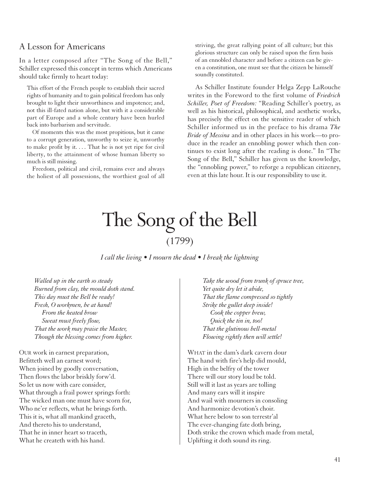#### A Lesson for Americans

In a letter composed after "The Song of the Bell," Schiller expressed this concept in terms which Americans should take firmly to heart today:

This effort of the French people to establish their sacred rights of humanity and to gain political freedom has only brought to light their unworthiness and impotence; and, not this ill-fated nation alone, but with it a considerable part of Europe and a whole century have been hurled back into barbarism and servitude.

Of moments this was the most propitious, but it came to a corrupt generation, unworthy to seize it, unworthy to make profit by it. . . . That he is not yet ripe for civil liberty, to the attainment of whose human liberty so much is still missing.

Freedom, political and civil, remains ever and always the holiest of all possessions, the worthiest goal of all striving, the great rallying point of all culture; but this glorious structure can only be raised upon the firm basis of an ennobled character and before a citizen can be given a constitution, one must see that the citizen be himself soundly constituted.

As Schiller Institute founder Helga Zepp LaRouche writes in the Foreword to the first volume of *Friedrich Schiller, Poet of Freedom:* "Reading Schiller's poetry, as well as his historical, philosophical, and aesthetic works, has precisely the effect on the sensitive reader of which Schiller informed us in the preface to his drama *The Bride of Messina* and in other places in his work—to produce in the reader an ennobling power which then continues to exist long after the reading is done." In "The Song of the Bell," Schiller has given us the knowledge, the "ennobling power," to reforge a republican citizenry, even at this late hour. It is our responsibility to use it.

## The Song of the Bell (1799)

*I call the living • I mourn the dead • I break the lightning*

*Walled up in the earth so steady Burned from clay, the mould doth stand. This day must the Bell be ready! Fresh, O workmen, be at hand! From the heated brow Sweat must freely flow, That the work may praise the Master, Though the blessing comes from higher.*

OUR work in earnest preparation, Befitteth well an earnest word; When joined by goodly conversation, Then flows the labor briskly forw'd. So let us now with care consider, What through a frail power springs forth: The wicked man one must have scorn for, Who ne'er reflects, what he brings forth. This it is, what all mankind graceth, And thereto his to understand, That he in inner heart so traceth, What he createth with his hand.

*Take the wood from trunk of spruce tree, Yet quite dry let it abide, That the flame compressed so tightly Strike the gullet deep inside! Cook the copper brew, Quick the tin in, too! That the glutinous bell-metal Flowing rightly then will settle!*

WHAT in the dam's dark cavern dour The hand with fire's help did mould, High in the belfry of the tower There will our story loud be told. Still will it last as years are tolling And many ears will it inspire And wail with mourners in consoling And harmonize devotion's choir. What here below to son terrestr'al The ever-changing fate doth bring, Doth strike the crown which made from metal, Uplifting it doth sound its ring.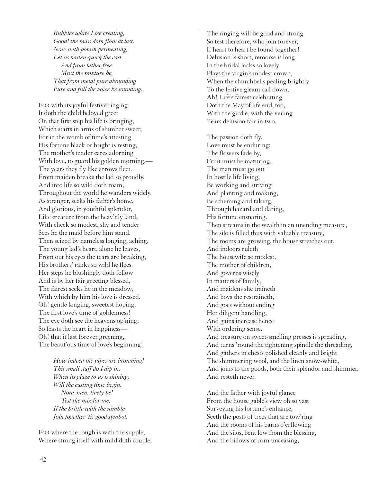*Bubbles white I see creating, Good! the mass doth flow at last. Now with potash permeating, Let us hasten quick the cast. And from lather free Must the mixture be, That from metal pure abounding Pure and full the voice be sounding.*

FOR with its joyful festive ringing It doth the child beloved greet On that first step his life is bringing, Which starts in arms of slumber sweet; For in the womb of time's attesting His fortune black or bright is resting, The mother's tender cares adorning With love, to guard his golden morning.— The years they fly like arrows fleet. From maiden breaks the lad so proudly, And into life so wild doth roam, Throughout the world he wanders widely. As stranger, seeks his father's home, And glorious, in youthful splendor, Like creature from the heav'nly land, With cheek so modest, shy and tender Sees he the maid before him stand. Then seized by nameless longing, aching, The young lad's heart, alone he leaves, From out his eyes the tears are breaking, His brothers' ranks so wild he flees. Her steps he blushingly doth follow And is by her fair greeting blessed, The fairest seeks he in the meadow, With which by him his love is dressed. Oh! gentle longing, sweetest hoping, The first love's time of goldenness! The eye doth see the heavens op'ning, So feasts the heart in happiness— Oh! that it last forever greening, The beaut'ous time of love's beginning!

> *How indeed the pipes are browning! This small staff do I dip in: When its glaze to us is shining, Will the casting time begin. Now, men, lively be! Test the mix for me, If the brittle with the nimble Join together 'tis good symbol.*

FOR where the rough is with the supple, Where strong itself with mild doth couple, The ringing will be good and strong. So test therefore, who join forever, If heart to heart be found together! Delusion is short, remorse is long. In the bridal locks so lovely Plays the virgin's modest crown, When the churchbells pealing brightly To the festive gleam call down. Ah! Life's fairest celebrating Doth the May of life end, too, With the girdle, with the veiling Tears delusion fair in two.

The passion doth fly. Love must be enduring; The flowers fade by, Fruit must be maturing. The man must go out In hostile life living, Be working and striving And planting and making, Be scheming and taking, Through hazard and daring, His fortune ensnaring. Then streams in the wealth in an unending measure, The silo is filled thus with valuable treasure, The rooms are growing, the house stretches out. And indoors ruleth The housewife so modest, The mother of children, And governs wisely In matters of family, And maidens she traineth And boys she restraineth, And goes without ending Her diligent handling, And gains increase hence With ordering sense. And treasure on sweet-smelling presses is spreading, And turns 'round the tightening spindle the threading, And gathers in chests polished cleanly and bright The shimmering wool, and the linen snow-white, And joins to the goods, both their splendor and shimmer, And resteth never.

And the father with joyful glance From the house gable's view oh so vast Surveying his fortune's enhance, Seeth the posts of trees that are tow'ring And the rooms of his barns o'erflowing And the silos, bent low from the blessing, And the billows of corn unceasing,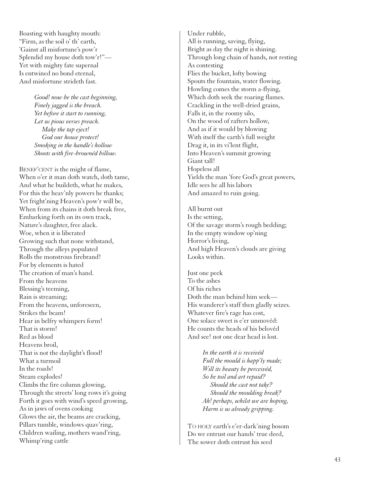Boasting with haughty mouth: "Firm, as the soil o' th' earth, 'Gainst all misfortune's pow'r Splendid my house doth tow'r!"— Yet with mighty fate supernal Is entwined no bond eternal, And misfortune strideth fast.

> *Good! now be the cast beginning, Finely jagged is the breach. Yet before it start to running, Let us pious verses preach. Make the tap eject! God our house protect! Smoking in the handle's hollow Shoots with fire-brownéd billow.*

BENEF'CENT is the might of flame, When o'er it man doth watch, doth tame, And what he buildeth, what he makes, For this the heav'nly powers he thanks; Yet fright'ning Heaven's pow'r will be, When from its chains it doth break free, Embarking forth on its own track, Nature's daughter, free alack. Woe, when it is liberated Growing such that none withstand, Through the alleys populated Rolls the monstrous firebrand! For by elements is hated The creation of man's hand. From the heavens Blessing's teeming, Rain is streaming; From the heavens, unforeseen, Strikes the beam! Hear in belfry whimpers form! That is storm! Red as blood Heavens broil, That is not the daylight's flood! What a turmoil In the roads! Steam explodes! Climbs the fire column glowing, Through the streets' long rows it's going Forth it goes with wind's speed growing, As in jaws of ovens cooking Glows the air, the beams are cracking, Pillars tumble, windows quav'ring, Children wailing, mothers wand'ring, Whimp'ring cattle

Under rubble, All is running, saving, flying, Bright as day the night is shining. Through long chain of hands, not resting As contesting Flies the bucket, lofty bowing Spouts the fountain, water flowing. Howling comes the storm a-flying, Which doth seek the roaring flames. Crackling in the well-dried grains, Falls it, in the roomy silo, On the wood of rafters hollow, And as if it would by blowing With itself the earth's full weight Drag it, in its vi'lent flight, Into Heaven's summit growing Giant tall! Hopeless all Yields the man 'fore God's great powers, Idle sees he all his labors And amazed to ruin going.

All burnt out Is the setting, Of the savage storm's rough bedding; In the empty window op'ning Horror's living, And high Heaven's clouds are giving Looks within.

Just one peek To the ashes Of his riches Doth the man behind him seek— His wanderer's staff then gladly seizes. Whatever fire's rage has cost, One solace sweet is e'er unmovéd: He counts the heads of his belovéd And see! not one dear head is lost.

> *In the earth it is receivéd Full the mould is happ'ly made; Will its beauty be perceivéd, So be toil and art repaid? Should the cast not take? Should the moulding break? Ah! perhaps, whilst we are hoping, Harm is us already gripping.*

TO HOLY earth's e'er-dark'ning bosom Do we entrust our hands' true deed, The sower doth entrust his seed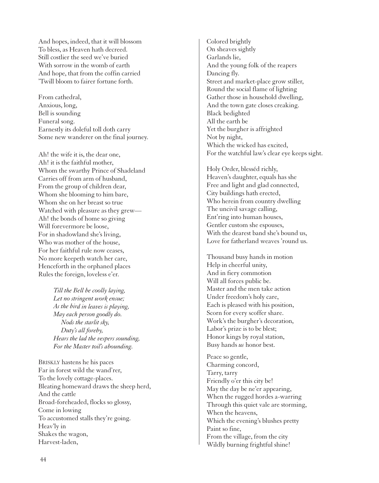And hopes, indeed, that it will blossom To bless, as Heaven hath decreed. Still costlier the seed we've buried With sorrow in the womb of earth And hope, that from the coffin carried 'Twill bloom to fairer fortune forth.

From cathedral, Anxious, long, Bell is sounding Funeral song. Earnestly its doleful toll doth carry Some new wanderer on the final journey.

Ah! the wife it is, the dear one, Ah! it is the faithful mother, Whom the swarthy Prince of Shadeland Carries off from arm of husband, From the group of children dear, Whom she blooming to him bare, Whom she on her breast so true Watched with pleasure as they grew— Ah! the bonds of home so giving Will forevermore be loose, For in shadowland she's living, Who was mother of the house, For her faithful rule now ceases, No more keepeth watch her care, Henceforth in the orphaned places Rules the foreign, loveless e'er.

> *Till the Bell be coolly laying, Let no stringent work ensue; As the bird in leaves is playing, May each person goodly do. Nods the starlit sky, Duty's all foreby, Hears the lad the vespers sounding, For the Master toil's abounding.*

BRISKLY hastens he his paces Far in forest wild the wand'rer, To the lovely cottage-places. Bleating homeward draws the sheep herd, And the cattle Broad-foreheaded, flocks so glossy, Come in lowing To accustomed stalls they're going. Heav'ly in Shakes the wagon, Harvest-laden,

Colored brightly On sheaves sightly Garlands lie, And the young folk of the reapers Dancing fly. Street and market-place grow stiller, Round the social flame of lighting Gather those in household dwelling, And the town gate closes creaking. Black bedighted All the earth be Yet the burgher is affrighted Not by night, Which the wicked has excited. For the watchful law's clear eye keeps sight.

Holy Order, blesséd richly, Heaven's daughter, equals has she Free and light and glad connected, City buildings hath erected, Who herein from country dwelling The uncivil savage calling, Ent'ring into human houses, Gentler custom she espouses, With the dearest band she's bound us, Love for fatherland weaves 'round us.

Thousand busy hands in motion Help in cheerful unity, And in fiery commotion Will all forces public be. Master and the men take action Under freedom's holy care, Each is pleased with his position, Scorn for every scoffer share. Work's the burgher's decoration, Labor's prize is to be blest; Honor kings by royal station, Busy hands *us* honor best.

Peace so gentle, Charming concord, Tarry, tarry Friendly o'er this city be! May the day be ne'er appearing, When the rugged hordes a-warring Through this quiet vale are storming, When the heavens, Which the evening's blushes pretty Paint so fine, From the village, from the city Wildly burning frightful shine!